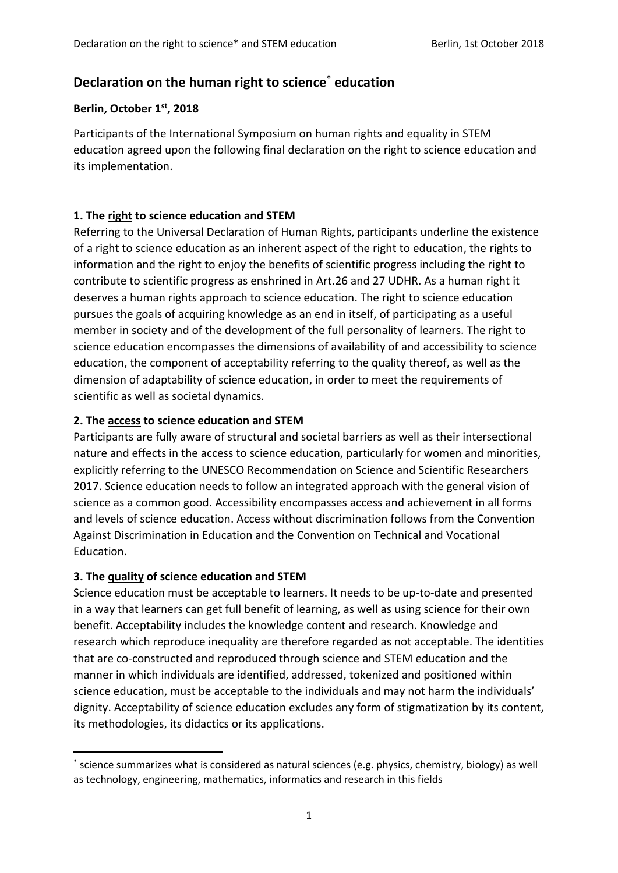# **Declaration on the human right to science\* education**

## **Berlin, October 1st, 2018**

Participants of the International Symposium on human rights and equality in STEM education agreed upon the following final declaration on the right to science education and its implementation.

# **1. The right to science education and STEM**

Referring to the Universal Declaration of Human Rights, participants underline the existence of a right to science education as an inherent aspect of the right to education, the rights to information and the right to enjoy the benefits of scientific progress including the right to contribute to scientific progress as enshrined in Art.26 and 27 UDHR. As a human right it deserves a human rights approach to science education. The right to science education pursues the goals of acquiring knowledge as an end in itself, of participating as a useful member in society and of the development of the full personality of learners. The right to science education encompasses the dimensions of availability of and accessibility to science education, the component of acceptability referring to the quality thereof, as well as the dimension of adaptability of science education, in order to meet the requirements of scientific as well as societal dynamics.

## **2. The access to science education and STEM**

Participants are fully aware of structural and societal barriers as well as their intersectional nature and effects in the access to science education, particularly for women and minorities, explicitly referring to the UNESCO Recommendation on Science and Scientific Researchers 2017. Science education needs to follow an integrated approach with the general vision of science as a common good. Accessibility encompasses access and achievement in all forms and levels of science education. Access without discrimination follows from the Convention Against Discrimination in Education and the Convention on Technical and Vocational Education.

## **3. The quality of science education and STEM**

1

Science education must be acceptable to learners. It needs to be up-to-date and presented in a way that learners can get full benefit of learning, as well as using science for their own benefit. Acceptability includes the knowledge content and research. Knowledge and research which reproduce inequality are therefore regarded as not acceptable. The identities that are co-constructed and reproduced through science and STEM education and the manner in which individuals are identified, addressed, tokenized and positioned within science education, must be acceptable to the individuals and may not harm the individuals' dignity. Acceptability of science education excludes any form of stigmatization by its content, its methodologies, its didactics or its applications.

<sup>\*</sup> science summarizes what is considered as natural sciences (e.g. physics, chemistry, biology) as well as technology, engineering, mathematics, informatics and research in this fields